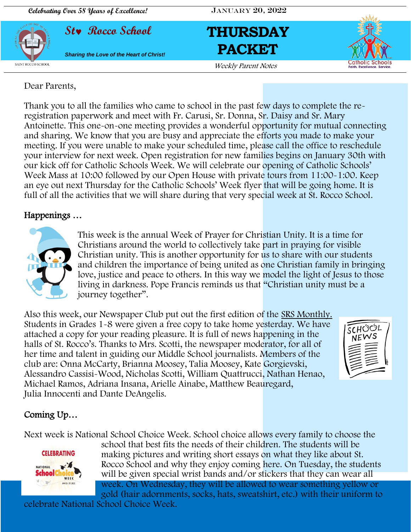







Dear Parents,

Thank you to all the families who came to school in the past few days to complete the reregistration paperwork and meet with Fr. Carusi, Sr. Donna, Sr. Daisy and Sr. Mary Antoinette. This one-on-one meeting provides a wonderful opportunity for mutual connecting and sharing. We know that you are busy and appreciate the efforts you made to make your meeting. If you were unable to make your scheduled time, please call the office to reschedule your interview for next week. Open registration for new families begins on January 30th with our kick off for Catholic Schools Week. We will celebrate our opening of Catholic Schools' Week Mass at 10:00 followed by our Open House with private tours from 11:00-1:00. Keep an eye out next Thursday for the Catholic Schools' Week flyer that will be going home. It is full of all the activities that we will share during that very special week at St. Rocco School.

### Happenings …



This week is the annual Week of Prayer for Christian Unity. It is a time for Christians around the world to collectively take part in praying for visible Christian unity. This is another opportunity for us to share with our students and children the importance of being united as one Christian family in bringing love, justice and peace to others. In this way we model the light of Jesus to those living in darkness. Pope Francis reminds us that "Christian unity must be a journey together".

Also this week, our Newspaper Club put out the first edition of the SRS Monthly. Students in Grades 1-8 were given a free copy to take home yesterday. We have attached a copy for your reading pleasure. It is full of news happening in the halls of St. Rocco's. Thanks to Mrs. Scotti, the newspaper moderator, for all of her time and talent in guiding our Middle School journalists. Members of the club are: Onna McCarty, Brianna Moosey, Talia Moosey, Kate Gorgievski, Alessandro Cassisi-Wood, Nicholas Scotti, William Quattrucci, Nathan Henao, Michael Ramos, Adriana Insana, Arielle Ainabe, Matthew Beauregard, [Julia Innocenti and Dante DeAngelis.](https://www.vaticannews.va/en/pope/news/2022-01/search-for-christian-unity-must-be-a-journey-together-says-pope.html)



### Coming Up…

Next week is National School Choice Week. School choice allows every family to choose the



school that best fits the needs of their children. The students will be making pictures and writing short essays on what they like about St. Rocco School and why they enjoy coming here. On Tuesday, the students will be given special wrist bands and/or stickers that they can wear all week. On Wednesday, they will be allowed to wear something yellow or gold (hair adornments, socks, hats, sweatshirt, etc.) with their uniform to

celebrate National School Choice Week.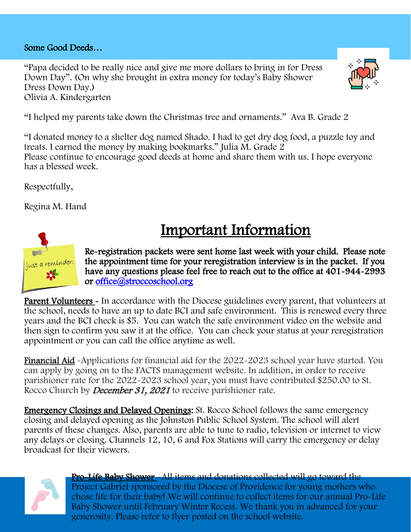### Some Good Deeds…

"Papa decided to be really nice and give me more dollars to bring in for Dress Down Day". (On why she brought in extra money for today's Baby Shower Dress Down Day.) Olivia A. Kindergarten



"I helped my parents take down the Christmas tree and ornaments." Ava B. Grade 2

"I donated money to a shelter dog named Shado. I had to get dry dog food, a puzzle toy and treats. I earned the money by making bookmarks." Julia M. Grade 2 Please continue to encourage good deeds at home and share them with us. I hope everyone has a blessed week.

Respectfully,

Regina M. Hand

## Important Information



Re-registration packets were sent home last week with your child. Please note the appointment time for your reregistration interview is in the packet. If you have any questions please feel free to reach out to the office at 401-944-2993 or [office@stroccoschool.org](mailto:office@stroccoschool.org) 

Parent Volunteers - In accordance with the Diocese guidelines every parent, that volunteers at the school, needs to have an up to date BCI and safe environment. This is renewed every three years and the BCI check is \$5. You can watch the safe environment video on the website and then sign to confirm you saw it at the office. You can check your status at your reregistration appointment or you can call the office anytime as well.

Financial Aid -Applications for financial aid for the 2022-2023 school year have started. You can apply by going on to the FACTS management website. In addition, in order to receive parishioner rate for the 2022-2023 school year, you must have contributed \$250.00 to St. Rocco Church by *December 31, 2021* to receive parishioner rate.

Emergency Closings and Delayed Openings: St. Rocco School follows the same emergency closing and delayed opening as the Johnston Public School System. The school will alert parents of these changes. Also, parents are able to tune to radio, television or internet to view any delays or closing. Channels 12, 10, 6 and Fox Stations will carry the emergency or delay broadcast for their viewers.



Pro-Life Baby Shower –All items and donations collected will go toward the Project Gabriel sponsored by the Diocese of Providence for young mothers who chose life for their baby! We will continue to collect items for our annual Pro-Life Baby Shower until February Winter Recess. We thank you in advanced for your generosity. Please refer to flyer posted on the school website.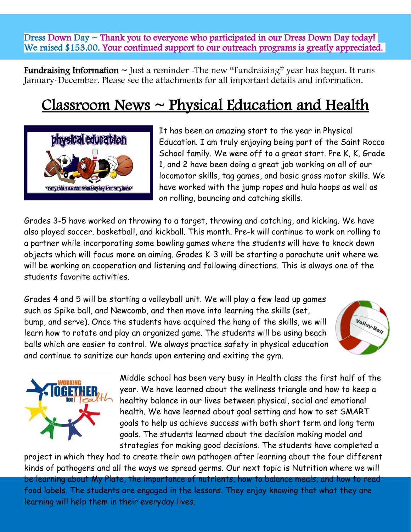Dress Down Day  $\sim$  Thank you to everyone who participated in our Dress Down Day today! We raised \$153.00. Your continued support to our outreach programs is greatly appreciated.

**Fundraising Information**  $\sim$  Just a reminder -The new "Fundraising" year has begun. It runs January-December. Please see the attachments for all important details and information.

# $Classroom$  News  $\sim$  Physical Education and Health



It has been an amazing start to the year in Physical Education. I am truly enjoying being part of the Saint Rocco School family. We were off to a great start. Pre K, K, Grade 1, and 2 have been doing a great job working on all of our locomotor skills, tag games, and basic gross motor skills. We have worked with the jump ropes and hula hoops as well as on rolling, bouncing and catching skills.

Grades 3-5 have worked on throwing to a target, throwing and catching, and kicking. We have also played soccer. basketball, and kickball. This month. Pre-k will continue to work on rolling to a partner while incorporating some bowling games where the students will have to knock down objects which will focus more on aiming. Grades K-3 will be starting a parachute unit where we will be working on cooperation and listening and following directions. This is always one of the students favorite activities.

Grades 4 and 5 will be starting a volleyball unit. We will play a few lead up games such as Spike ball, and Newcomb, and then move into learning the skills (set, bump, and serve). Once the students have acquired the hang of the skills, we will learn how to rotate and play an organized game. The students will be using beach balls which are easier to control. We always practice safety in physical education and continue to sanitize our hands upon entering and exiting the gym.





Middle school has been very busy in Health class the first half of the year. We have learned about the wellness triangle and how to keep a healthy balance in our lives between physical, social and emotional health. We have learned about goal setting and how to set SMART goals to help us achieve success with both short term and long term goals. The students learned about the decision making model and strategies for making good decisions. The students have completed a

project in which they had to create their own pathogen after learning about the four different kinds of pathogens and all the ways we spread germs. Our next topic is Nutrition where we will be learning about My Plate, the importance of nutrients, how to balance meals, and how to read food labels. The students are engaged in the lessons. They enjoy knowing that what they are learning will help them in their everyday lives.